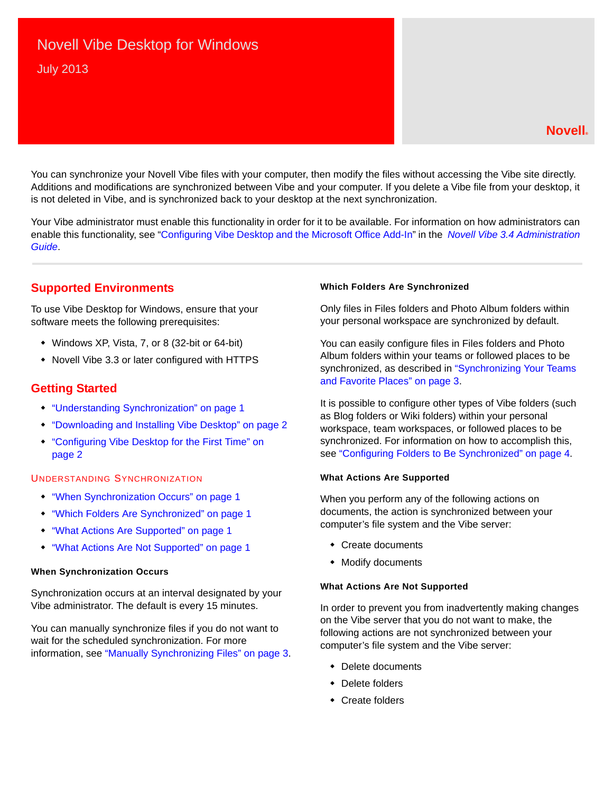# Novell Vibe Desktop for Windows July 2013

### **Novell®**

You can synchronize your Novell Vibe files with your computer, then modify the files without accessing the Vibe site directly. Additions and modifications are synchronized between Vibe and your computer. If you delete a Vibe file from your desktop, it is not deleted in Vibe, and is synchronized back to your desktop at the next synchronization.

Your Vibe administrator must enable this functionality in order for it to be available. For information on how administrators can enable this functionality, see "Configuring Vibe Desktop and the Microsoft Office Add-In" in the *Novell Vibe 3.4 Administration Guide*.

# **Supported Environments**

To use Vibe Desktop for Windows, ensure that your software meets the following prerequisites:

- Windows XP, Vista, 7, or 8 (32-bit or 64-bit)
- Novell Vibe 3.3 or later configured with HTTPS

### **Getting Started**

- ["Understanding Synchronization" on page 1](#page-0-0)
- ["Downloading and Installing Vibe Desktop" on page 2](#page-1-0)
- ["Configuring Vibe Desktop for the First Time" on](#page-1-1)  [page 2](#page-1-1)

#### <span id="page-0-0"></span>UNDERSTANDING SYNCHRONIZATION

- ["When Synchronization Occurs" on page 1](#page-0-1)
- ["Which Folders Are Synchronized" on page 1](#page-0-2)
- ["What Actions Are Supported" on page 1](#page-0-3)
- ["What Actions Are Not Supported" on page 1](#page-0-4)

#### <span id="page-0-1"></span>**When Synchronization Occurs**

Synchronization occurs at an interval designated by your Vibe administrator. The default is every 15 minutes.

You can manually synchronize files if you do not want to wait for the scheduled synchronization. For more information, see ["Manually Synchronizing Files" on page 3](#page-2-0).

#### <span id="page-0-2"></span>**Which Folders Are Synchronized**

Only files in Files folders and Photo Album folders within your personal workspace are synchronized by default.

You can easily configure files in Files folders and Photo Album folders within your teams or followed places to be synchronized, as described in ["Synchronizing Your Teams](#page-2-1)  [and Favorite Places" on page 3.](#page-2-1)

It is possible to configure other types of Vibe folders (such as Blog folders or Wiki folders) within your personal workspace, team workspaces, or followed places to be synchronized. For information on how to accomplish this, see ["Configuring Folders to Be Synchronized" on page 4](#page-3-0).

#### <span id="page-0-3"></span>**What Actions Are Supported**

When you perform any of the following actions on documents, the action is synchronized between your computer's file system and the Vibe server:

- Create documents
- Modify documents

#### <span id="page-0-4"></span>**What Actions Are Not Supported**

In order to prevent you from inadvertently making changes on the Vibe server that you do not want to make, the following actions are not synchronized between your computer's file system and the Vibe server:

- Delete documents
- Delete folders
- Create folders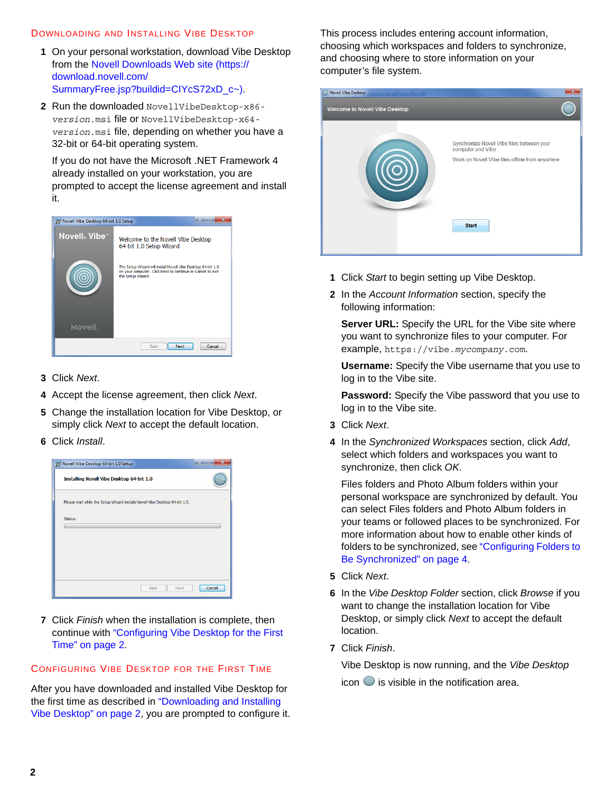#### <span id="page-1-0"></span>DOWNLOADING AND INSTALLING VIBE DESKTOP

- **1** On your personal workstation, download Vibe Desktop from the [Novell Downloads Web site](https://download.novell.com/SummaryFree.jsp?buildid=CIYcS72xD_c~) (https:// download.novell.com/ SummaryFree.jsp?buildid=CIYcS72xD\_c~).
- **2** Run the downloaded NovellVibeDesktop-x86 *version*.msi file or NovellVibeDesktop-x64 *version*.msi file, depending on whether you have a 32-bit or 64-bit operating system.

If you do not have the Microsoft .NET Framework 4 already installed on your workstation, you are prompted to accept the license agreement and install it.



- **3** Click *Next*.
- **4** Accept the license agreement, then click *Next*.
- **5** Change the installation location for Vibe Desktop, or simply click *Next* to accept the default location.
- **6** Click *Install*.



**7** Click *Finish* when the installation is complete, then continue with ["Configuring Vibe Desktop for the First](#page-1-1)  [Time" on page 2](#page-1-1).

### <span id="page-1-1"></span>CONFIGURING VIBE DESKTOP FOR THE FIRST TIME

After you have downloaded and installed Vibe Desktop for the first time as described in ["Downloading and Installing](#page-1-0)  [Vibe Desktop" on page 2,](#page-1-0) you are prompted to configure it. This process includes entering account information, choosing which workspaces and folders to synchronize, and choosing where to store information on your computer's file system.

| Novell Vibe Desktop                   |                                                                                                                    |
|---------------------------------------|--------------------------------------------------------------------------------------------------------------------|
| <b>Welcome to Novell Vibe Desktop</b> |                                                                                                                    |
|                                       | Synchronize Novell Vibe files between your<br>computer and Vibe<br>Work on Novell Vibe files offline from anywhere |
|                                       | <b>Start</b>                                                                                                       |

- **1** Click *Start* to begin setting up Vibe Desktop.
- **2** In the *Account Information* section, specify the following information:

**Server URL:** Specify the URL for the Vibe site where you want to synchronize files to your computer. For example, https://vibe.*mycompany*.com.

**Username:** Specify the Vibe username that you use to log in to the Vibe site.

**Password:** Specify the Vibe password that you use to log in to the Vibe site.

- **3** Click *Next*.
- **4** In the *Synchronized Workspaces* section, click *Add*, select which folders and workspaces you want to synchronize, then click *OK*.

Files folders and Photo Album folders within your personal workspace are synchronized by default. You can select Files folders and Photo Album folders in your teams or followed places to be synchronized. For more information about how to enable other kinds of folders to be synchronized, see ["Configuring Folders to](#page-3-0)  [Be Synchronized" on page 4.](#page-3-0)

- **5** Click *Next*.
- **6** In the *Vibe Desktop Folder* section, click *Browse* if you want to change the installation location for Vibe Desktop, or simply click *Next* to accept the default location.
- **7** Click *Finish*.

Vibe Desktop is now running, and the *Vibe Desktop*

icon  $\bullet$  is visible in the notification area.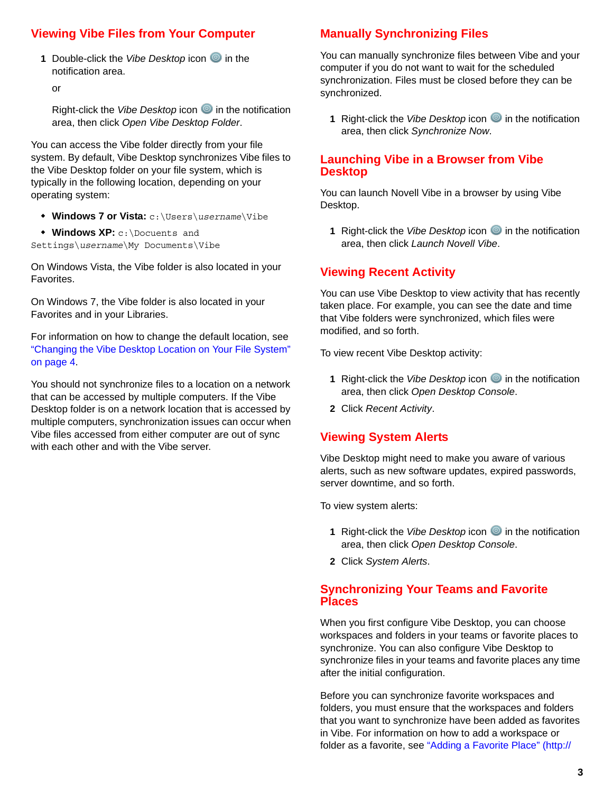# <span id="page-2-2"></span>**Viewing Vibe Files from Your Computer**

**1** Double-click the Vibe Desktop icon **i**n the notification area.

or

Right-click the *Vibe Desktop* icon **i**n the notification area, then click *Open Vibe Desktop Folder*.

You can access the Vibe folder directly from your file system. By default, Vibe Desktop synchronizes Vibe files to the Vibe Desktop folder on your file system, which is typically in the following location, depending on your operating system:

- **Windows 7 or Vista:** c:\Users\*username*\Vibe
- **Windows XP:** c:\Docuents and

Settings\*username*\My Documents\Vibe

On Windows Vista, the Vibe folder is also located in your Favorites.

On Windows 7, the Vibe folder is also located in your Favorites and in your Libraries.

For information on how to change the default location, see ["Changing the Vibe Desktop Location on Your File System"](#page-3-1)  [on page 4](#page-3-1).

You should not synchronize files to a location on a network that can be accessed by multiple computers. If the Vibe Desktop folder is on a network location that is accessed by multiple computers, synchronization issues can occur when Vibe files accessed from either computer are out of sync with each other and with the Vibe server.

# <span id="page-2-0"></span>**Manually Synchronizing Files**

You can manually synchronize files between Vibe and your computer if you do not want to wait for the scheduled synchronization. Files must be closed before they can be synchronized.

**1** Right-click the *Vibe Desktop* icon **i**n the notification area, then click *Synchronize Now*.

### **Launching Vibe in a Browser from Vibe Desktop**

You can launch Novell Vibe in a browser by using Vibe Desktop.

**1** Right-click the *Vibe Desktop* icon **in** the notification area, then click *Launch Novell Vibe*.

# **Viewing Recent Activity**

You can use Vibe Desktop to view activity that has recently taken place. For example, you can see the date and time that Vibe folders were synchronized, which files were modified, and so forth.

To view recent Vibe Desktop activity:

- **1** Right-click the *Vibe Desktop* icon **i**n the notification area, then click *Open Desktop Console*.
- **2** Click *Recent Activity*.

### **Viewing System Alerts**

Vibe Desktop might need to make you aware of various alerts, such as new software updates, expired passwords, server downtime, and so forth.

To view system alerts:

- **1** Right-click the *Vibe Desktop* icon **i**n the notification area, then click *Open Desktop Console*.
- **2** Click *System Alerts*.

### <span id="page-2-1"></span>**Synchronizing Your Teams and Favorite Places**

When you first configure Vibe Desktop, you can choose workspaces and folders in your teams or favorite places to synchronize. You can also configure Vibe Desktop to synchronize files in your teams and favorite places any time after the initial configuration.

Before you can synchronize favorite workspaces and folders, you must ensure that the workspaces and folders that you want to synchronize have been added as favorites in Vibe. For information on how to add a workspace or folder as a favorite, see "[Adding a Favorite Place](http://www.novell.com/documentation/vibe34/vibe34_user/data/bjqczjz.html#nav_favorites_add)" (http://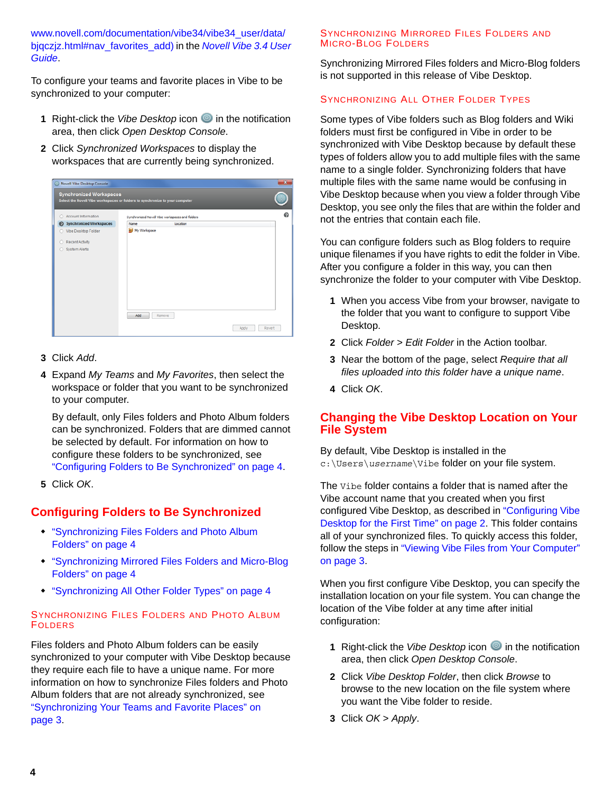www.novell.com/documentation/vibe34/vibe34\_user/data/ bjqczjz.html#nav\_favorites\_add) in the *Novell Vibe 3.4 User Guide*.

To configure your teams and favorite places in Vibe to be synchronized to your computer:

- **1** Right-click the *Vibe Desktop* icon **i**n the notification area, then click *Open Desktop Console*.
- **2** Click *Synchronized Workspaces* to display the workspaces that are currently being synchronized.



- **3** Click *Add*.
- **4** Expand *My Teams* and *My Favorites*, then select the workspace or folder that you want to be synchronized to your computer.

By default, only Files folders and Photo Album folders can be synchronized. Folders that are dimmed cannot be selected by default. For information on how to configure these folders to be synchronized, see ["Configuring Folders to Be Synchronized" on page 4](#page-3-0).

**5** Click *OK*.

# <span id="page-3-0"></span>**Configuring Folders to Be Synchronized**

- ["Synchronizing Files Folders and Photo Album](#page-3-2)  [Folders" on page 4](#page-3-2)
- ["Synchronizing Mirrored Files Folders and Micro-Blog](#page-3-3)  [Folders" on page 4](#page-3-3)
- ["Synchronizing All Other Folder Types" on page 4](#page-3-4)

#### <span id="page-3-2"></span>SYNCHRONIZING FILES FOLDERS AND PHOTO ALBUM FOLDERS

Files folders and Photo Album folders can be easily synchronized to your computer with Vibe Desktop because they require each file to have a unique name. For more information on how to synchronize Files folders and Photo Album folders that are not already synchronized, see ["Synchronizing Your Teams and Favorite Places" on](#page-2-1)  [page 3](#page-2-1).

#### <span id="page-3-3"></span>SYNCHRONIZING MIRRORED FILES FOLDERS AND MICRO-BLOG FOLDERS

Synchronizing Mirrored Files folders and Micro-Blog folders is not supported in this release of Vibe Desktop.

#### <span id="page-3-4"></span>SYNCHRONIZING ALL OTHER FOLDER TYPES

Some types of Vibe folders such as Blog folders and Wiki folders must first be configured in Vibe in order to be synchronized with Vibe Desktop because by default these types of folders allow you to add multiple files with the same name to a single folder. Synchronizing folders that have multiple files with the same name would be confusing in Vibe Desktop because when you view a folder through Vibe Desktop, you see only the files that are within the folder and not the entries that contain each file.

You can configure folders such as Blog folders to require unique filenames if you have rights to edit the folder in Vibe. After you configure a folder in this way, you can then synchronize the folder to your computer with Vibe Desktop.

- **1** When you access Vibe from your browser, navigate to the folder that you want to configure to support Vibe Desktop.
- **2** Click *Folder* > *Edit Folder* in the Action toolbar.
- **3** Near the bottom of the page, select *Require that all files uploaded into this folder have a unique name*.
- **4** Click *OK*.

### <span id="page-3-1"></span>**Changing the Vibe Desktop Location on Your File System**

By default, Vibe Desktop is installed in the c:\Users\*username*\Vibe folder on your file system.

The Vibe folder contains a folder that is named after the Vibe account name that you created when you first configured Vibe Desktop, as described in ["Configuring Vibe](#page-1-1)  [Desktop for the First Time" on page 2](#page-1-1). This folder contains all of your synchronized files. To quickly access this folder, follow the steps in ["Viewing Vibe Files from Your Computer"](#page-2-2)  [on page 3](#page-2-2).

When you first configure Vibe Desktop, you can specify the installation location on your file system. You can change the location of the Vibe folder at any time after initial configuration:

- **1** Right-click the *Vibe Desktop* icon **i**n the notification area, then click *Open Desktop Console*.
- **2** Click *Vibe Desktop Folder*, then click *Browse* to browse to the new location on the file system where you want the Vibe folder to reside.
- **3** Click *OK* > *Apply*.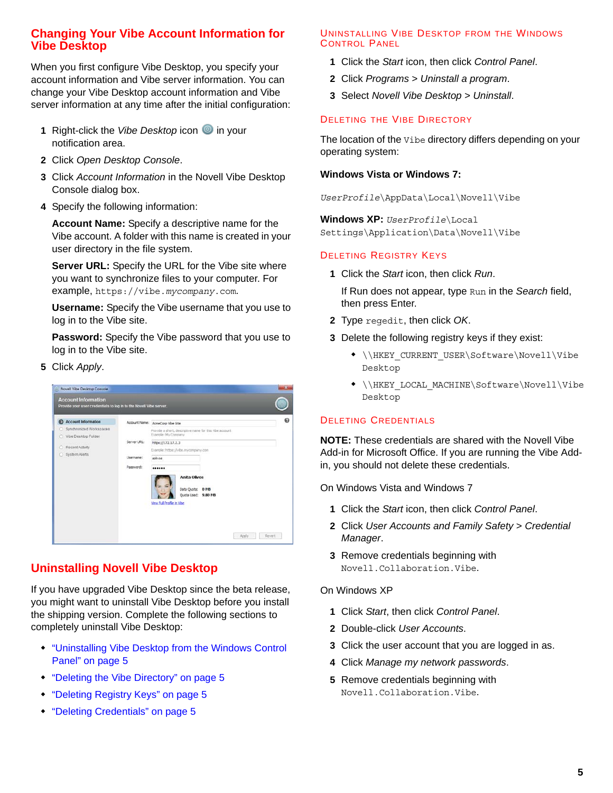# **Changing Your Vibe Account Information for Vibe Desktop**

When you first configure Vibe Desktop, you specify your account information and Vibe server information. You can change your Vibe Desktop account information and Vibe server information at any time after the initial configuration:

- **1** Right-click the *Vibe Desktop* icon **i**n your notification area.
- **2** Click *Open Desktop Console*.
- **3** Click *Account Information* in the Novell Vibe Desktop Console dialog box.
- **4** Specify the following information:

**Account Name:** Specify a descriptive name for the Vibe account. A folder with this name is created in your user directory in the file system.

**Server URL:** Specify the URL for the Vibe site where you want to synchronize files to your computer. For example, https://vibe.*mycompany*.com.

**Username:** Specify the Vibe username that you use to log in to the Vibe site.

**Password:** Specify the Vibe password that you use to log in to the Vibe site.

**5** Click *Apply*.



# **Uninstalling Novell Vibe Desktop**

If you have upgraded Vibe Desktop since the beta release, you might want to uninstall Vibe Desktop before you install the shipping version. Complete the following sections to completely uninstall Vibe Desktop:

- ["Uninstalling Vibe Desktop from the Windows Control](#page-4-0)  [Panel" on page 5](#page-4-0)
- ["Deleting the Vibe Directory" on page 5](#page-4-1)
- ["Deleting Registry Keys" on page 5](#page-4-2)
- ["Deleting Credentials" on page 5](#page-4-3)

#### <span id="page-4-0"></span>UNINSTALLING VIBE DESKTOP FROM THE WINDOWS CONTROL PANEL

- **1** Click the *Start* icon, then click *Control Panel*.
- **2** Click *Programs* > *Uninstall a program*.
- **3** Select *Novell Vibe Desktop* > *Uninstall*.

### <span id="page-4-1"></span>DELETING THE VIBE DIRECTORY

The location of the Vibe directory differs depending on your operating system:

#### **Windows Vista or Windows 7:**

*UserProfile*\AppData\Local\Novell\Vibe

**Windows XP:** *UserProfile*\Local Settings\Application\Data\Novell\Vibe

### <span id="page-4-2"></span>DELETING REGISTRY KEYS

**1** Click the *Start* icon, then click *Run*.

If Run does not appear, type Run in the *Search* field, then press Enter.

- **2** Type regedit, then click *OK*.
- **3** Delete the following registry keys if they exist:
	- \\HKEY\_CURRENT\_USER\Software\Novell\Vibe Desktop
	- \\HKEY\_LOCAL\_MACHINE\Software\Novell\Vibe Desktop

### <span id="page-4-3"></span>DELETING CREDENTIALS

**NOTE:** These credentials are shared with the Novell Vibe Add-in for Microsoft Office. If you are running the Vibe Addin, you should not delete these credentials.

On Windows Vista and Windows 7

- **1** Click the *Start* icon, then click *Control Panel*.
- **2** Click *User Accounts and Family Safety* > *Credential Manager*.
- **3** Remove credentials beginning with Novell.Collaboration.Vibe.

### On Windows XP

- **1** Click *Start*, then click *Control Panel*.
- **2** Double-click *User Accounts*.
- **3** Click the user account that you are logged in as.
- **4** Click *Manage my network passwords*.
- **5** Remove credentials beginning with Novell.Collaboration.Vibe.